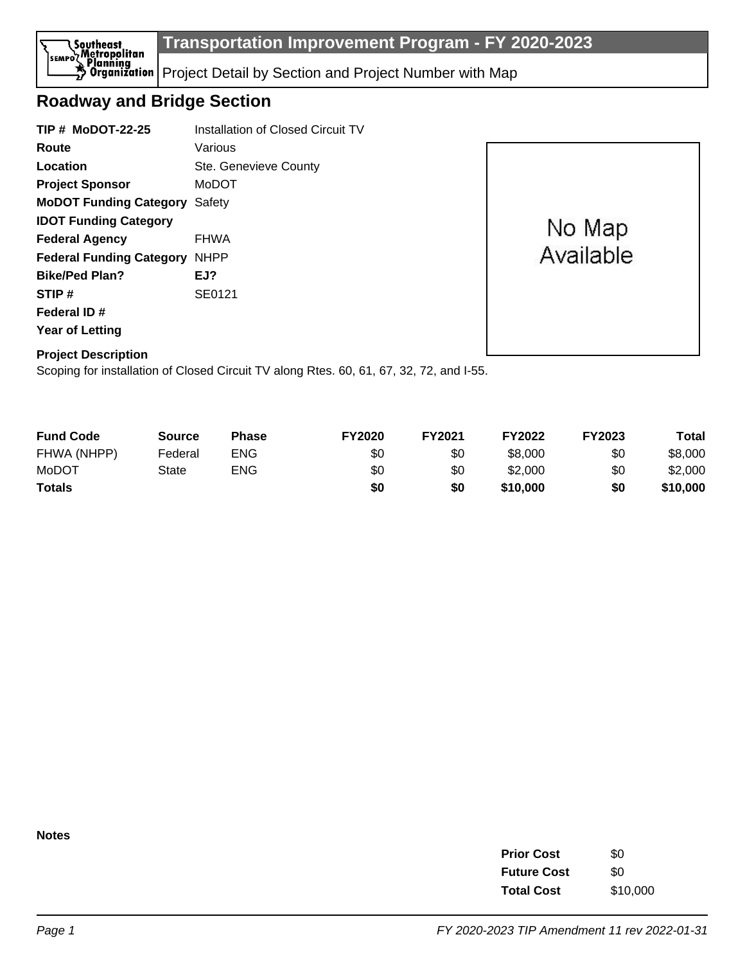

## **Roadway and Bridge Section**

| <b>TIP # MoDOT-22-25</b>             | Installation of Closed Circuit TV |           |
|--------------------------------------|-----------------------------------|-----------|
| Route                                | Various                           |           |
| Location                             | Ste. Genevieve County             |           |
| <b>Project Sponsor</b>               | MoDOT                             |           |
| <b>MoDOT Funding Category Safety</b> |                                   |           |
| <b>IDOT Funding Category</b>         |                                   | No Map    |
| <b>Federal Agency</b>                | <b>FHWA</b>                       |           |
| <b>Federal Funding Category</b>      | <b>NHPP</b>                       | Available |
| <b>Bike/Ped Plan?</b>                | EJ?                               |           |
| STIP#                                | SE0121                            |           |
| Federal ID#                          |                                   |           |
| <b>Year of Letting</b>               |                                   |           |
| <b>Project Description</b>           |                                   |           |

Scoping for installation of Closed Circuit TV along Rtes. 60, 61, 67, 32, 72, and I-55.

| <b>Fund Code</b> | <b>Source</b> | <b>Phase</b> | <b>FY2020</b> | FY2021 | <b>FY2022</b> | <b>FY2023</b> | Total    |
|------------------|---------------|--------------|---------------|--------|---------------|---------------|----------|
| FHWA (NHPP)      | Federal       | ENG          | \$0           | \$0    | \$8,000       | \$0           | \$8,000  |
| MoDOT            | State         | <b>ENG</b>   | \$0           | \$0    | \$2,000       | \$0           | \$2,000  |
| <b>Totals</b>    |               |              | \$0           | \$0    | \$10,000      | \$0           | \$10,000 |

**Notes**

| <b>Prior Cost</b>  | \$0      |
|--------------------|----------|
| <b>Future Cost</b> | \$0      |
| <b>Total Cost</b>  | \$10,000 |